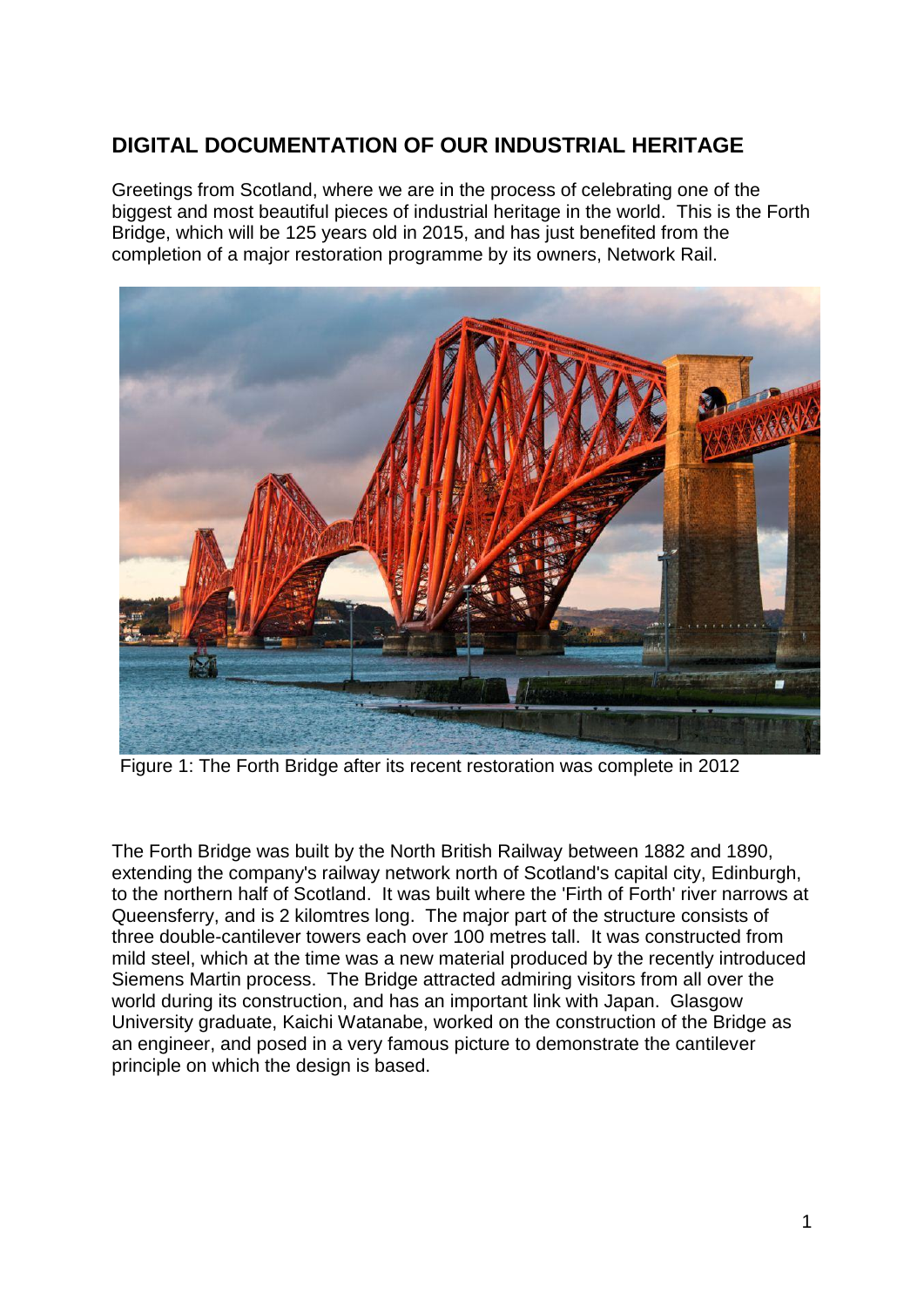## **DIGITAL DOCUMENTATION OF OUR INDUSTRIAL HERITAGE**

Greetings from Scotland, where we are in the process of celebrating one of the biggest and most beautiful pieces of industrial heritage in the world. This is the Forth Bridge, which will be 125 years old in 2015, and has just benefited from the completion of a major restoration programme by its owners, Network Rail.



Figure 1: The Forth Bridge after its recent restoration was complete in 2012

The Forth Bridge was built by the North British Railway between 1882 and 1890, extending the company's railway network north of Scotland's capital city, Edinburgh, to the northern half of Scotland. It was built where the 'Firth of Forth' river narrows at Queensferry, and is 2 kilomtres long. The major part of the structure consists of three double-cantilever towers each over 100 metres tall. It was constructed from mild steel, which at the time was a new material produced by the recently introduced Siemens Martin process. The Bridge attracted admiring visitors from all over the world during its construction, and has an important link with Japan. Glasgow University graduate, Kaichi Watanabe, worked on the construction of the Bridge as an engineer, and posed in a very famous picture to demonstrate the cantilever principle on which the design is based.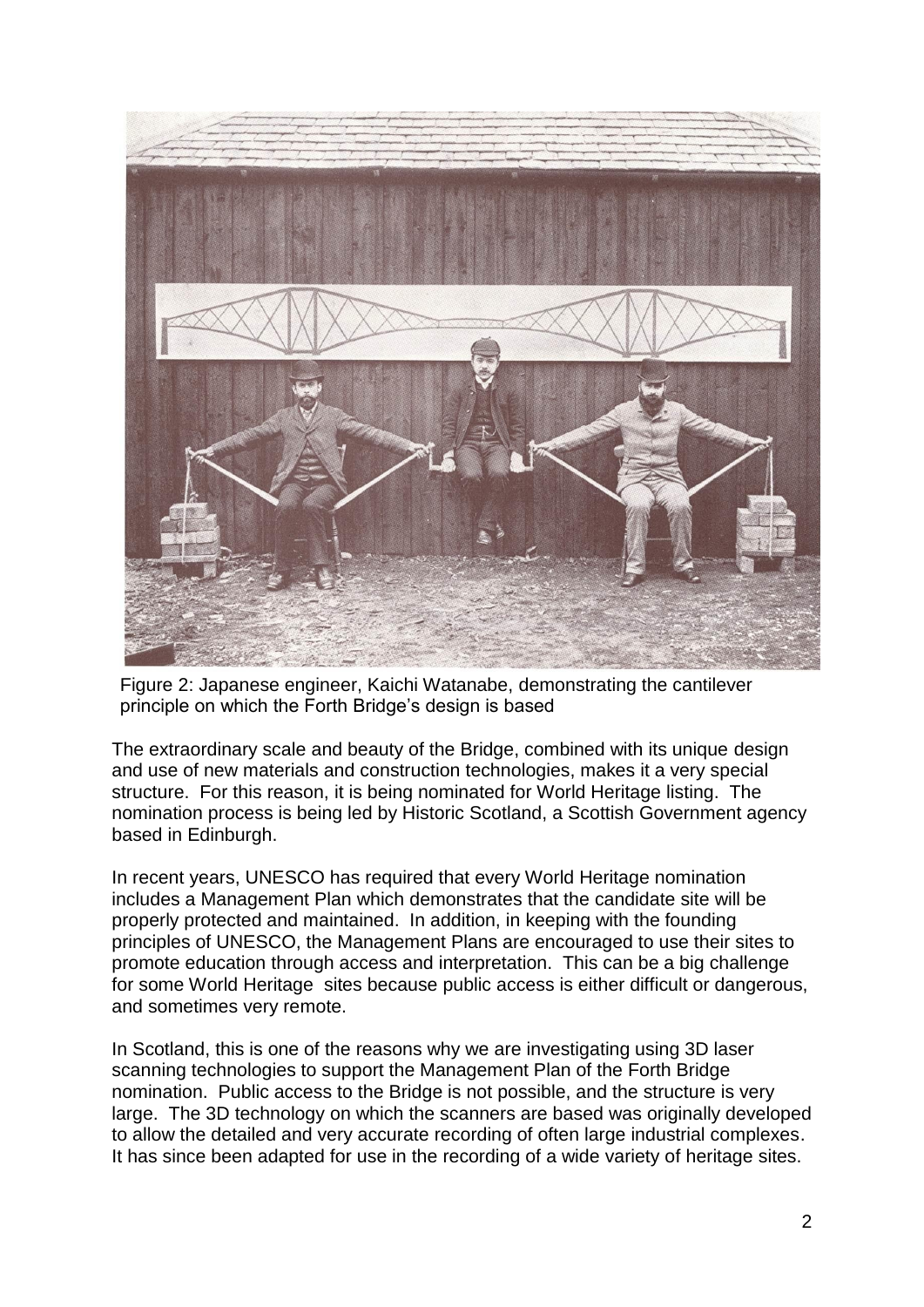

Figure 2: Japanese engineer, Kaichi Watanabe, demonstrating the cantilever principle on which the Forth Bridge's design is based

The extraordinary scale and beauty of the Bridge, combined with its unique design and use of new materials and construction technologies, makes it a very special structure. For this reason, it is being nominated for World Heritage listing. The nomination process is being led by Historic Scotland, a Scottish Government agency based in Edinburgh.

In recent years, UNESCO has required that every World Heritage nomination includes a Management Plan which demonstrates that the candidate site will be properly protected and maintained. In addition, in keeping with the founding principles of UNESCO, the Management Plans are encouraged to use their sites to promote education through access and interpretation. This can be a big challenge for some World Heritage sites because public access is either difficult or dangerous, and sometimes very remote.

In Scotland, this is one of the reasons why we are investigating using 3D laser scanning technologies to support the Management Plan of the Forth Bridge nomination. Public access to the Bridge is not possible, and the structure is very large. The 3D technology on which the scanners are based was originally developed to allow the detailed and very accurate recording of often large industrial complexes. It has since been adapted for use in the recording of a wide variety of heritage sites.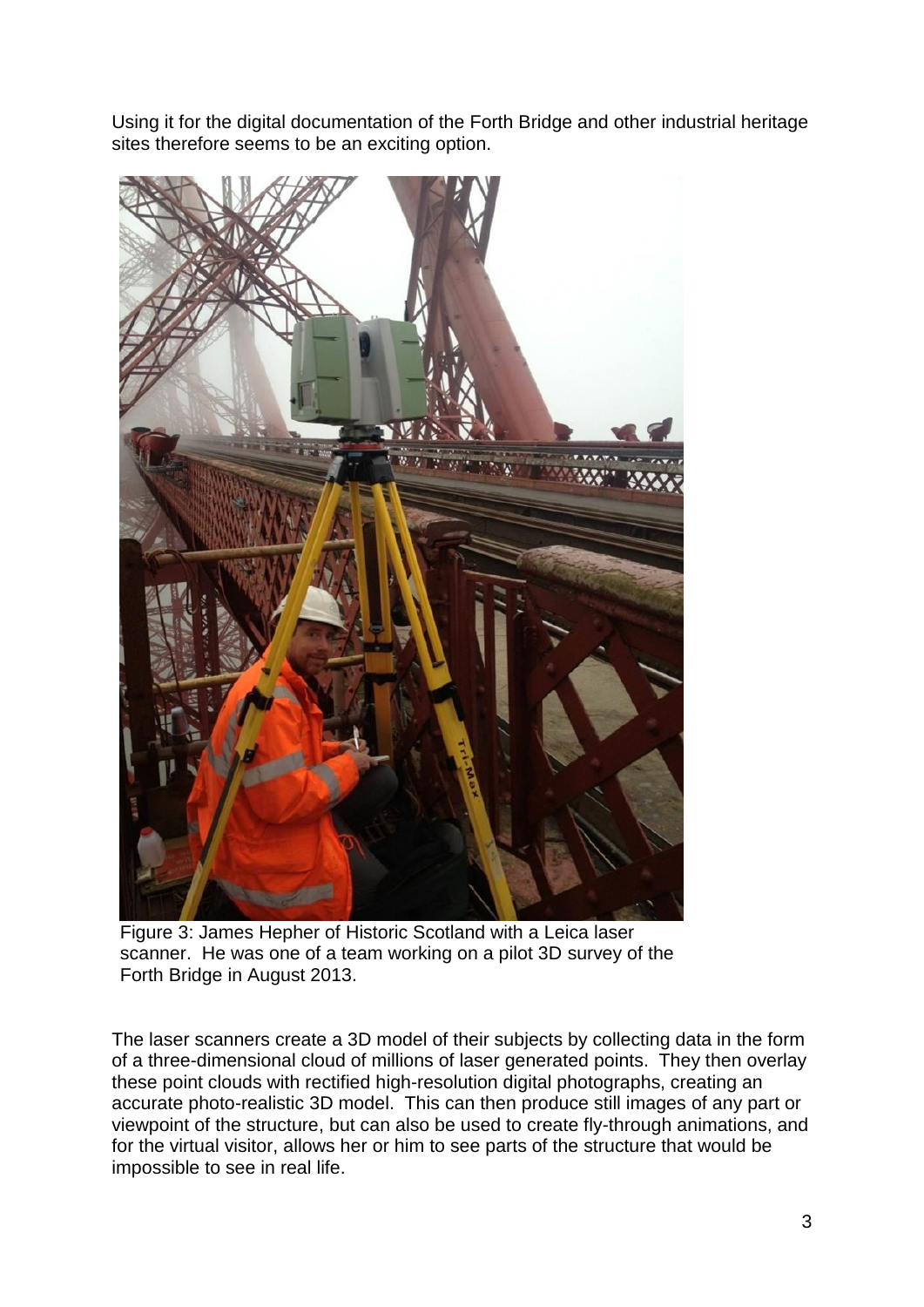Using it for the digital documentation of the Forth Bridge and other industrial heritage sites therefore seems to be an exciting option.



Figure 3: James Hepher of Historic Scotland with a Leica laser scanner. He was one of a team working on a pilot 3D survey of the Forth Bridge in August 2013.

The laser scanners create a 3D model of their subjects by collecting data in the form of a three-dimensional cloud of millions of laser generated points. They then overlay these point clouds with rectified high-resolution digital photographs, creating an accurate photo-realistic 3D model. This can then produce still images of any part or viewpoint of the structure, but can also be used to create fly-through animations, and for the virtual visitor, allows her or him to see parts of the structure that would be impossible to see in real life.